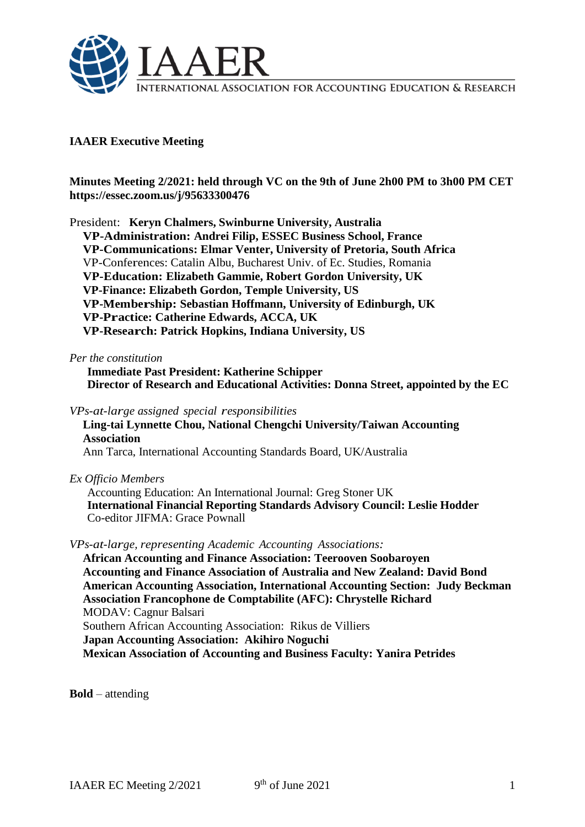

# **IAAER Executive Meeting**

**Minutes Meeting 2/2021: held through VC on the 9th of June 2h00 PM to 3h00 PM CET https://essec.zoom.us/j/95633300476**

President: **Keryn Chalmers, Swinburne University, Australia VP-Administration: Andrei Filip, ESSEC Business School, France VP-Communications: Elmar Venter, University of Pretoria, South Africa** VP-Conferences: Catalin Albu, Bucharest Univ. of Ec. Studies, Romania **VP-Education: Elizabeth Gammie, Robert Gordon University, UK VP-Finance: Elizabeth Gordon, Temple University, US VP-Membership: Sebastian Hoffmann, University of Edinburgh, UK VP-Practice: Catherine Edwards, ACCA, UK VP-Research: Patrick Hopkins, Indiana University, US**

#### *Per the constitution*

**Immediate Past President: Katherine Schipper Director of Research and Educational Activities: Donna Street, appointed by the EC**

*VPs-at-large assigned special responsibilities*

**Ling-tai Lynnette Chou, National Chengchi University/Taiwan Accounting Association**

Ann Tarca, International Accounting Standards Board, UK/Australia

*Ex Officio Members*

Accounting Education: An International Journal: Greg Stoner UK **International Financial Reporting Standards Advisory Council: Leslie Hodder** Co-editor JIFMA: Grace Pownall

*VPs-at-large, representing Academic Accounting Associations:*

**African Accounting and Finance Association: Teerooven Soobaroyen Accounting and Finance Association of Australia and New Zealand: David Bond American Accounting Association, International Accounting Section: Judy Beckman Association Francophone de Comptabilite (AFC): Chrystelle Richard** MODAV: Cagnur Balsari Southern African Accounting Association: Rikus de Villiers **Japan Accounting Association: Akihiro Noguchi Mexican Association of Accounting and Business Faculty: Yanira Petrides**

**Bold** – attending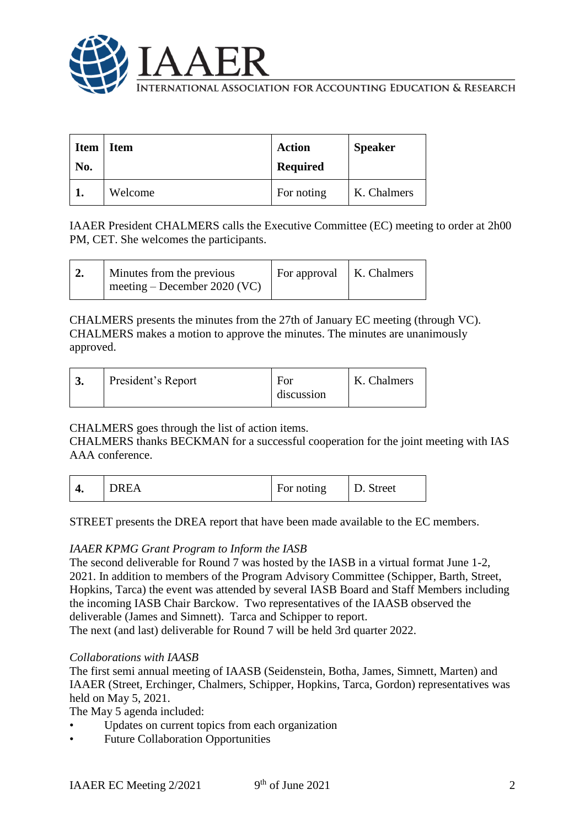

International Association for Accounting Education & Research

| <b>Item</b><br>No. | <b>Item</b> | <b>Action</b><br><b>Required</b> | <b>Speaker</b> |
|--------------------|-------------|----------------------------------|----------------|
|                    | Welcome     | For noting                       | K. Chalmers    |

IAAER President CHALMERS calls the Executive Committee (EC) meeting to order at 2h00 PM, CET. She welcomes the participants.

CHALMERS presents the minutes from the 27th of January EC meeting (through VC). CHALMERS makes a motion to approve the minutes. The minutes are unanimously approved.

| President's Report<br>K. Chalmers<br>For<br>discussion |
|--------------------------------------------------------|
|--------------------------------------------------------|

# CHALMERS goes through the list of action items.

CHALMERS thanks BECKMAN for a successful cooperation for the joint meeting with IAS AAA conference.

| т. | <b>DREA</b> | For noting | D. Street |
|----|-------------|------------|-----------|
|----|-------------|------------|-----------|

STREET presents the DREA report that have been made available to the EC members.

## *IAAER KPMG Grant Program to Inform the IASB*

The second deliverable for Round 7 was hosted by the IASB in a virtual format June 1-2, 2021. In addition to members of the Program Advisory Committee (Schipper, Barth, Street, Hopkins, Tarca) the event was attended by several IASB Board and Staff Members including the incoming IASB Chair Barckow. Two representatives of the IAASB observed the deliverable (James and Simnett). Tarca and Schipper to report.

The next (and last) deliverable for Round 7 will be held 3rd quarter 2022.

#### *Collaborations with IAASB*

The first semi annual meeting of IAASB (Seidenstein, Botha, James, Simnett, Marten) and IAAER (Street, Erchinger, Chalmers, Schipper, Hopkins, Tarca, Gordon) representatives was held on May 5, 2021.

The May 5 agenda included:

- Updates on current topics from each organization
- Future Collaboration Opportunities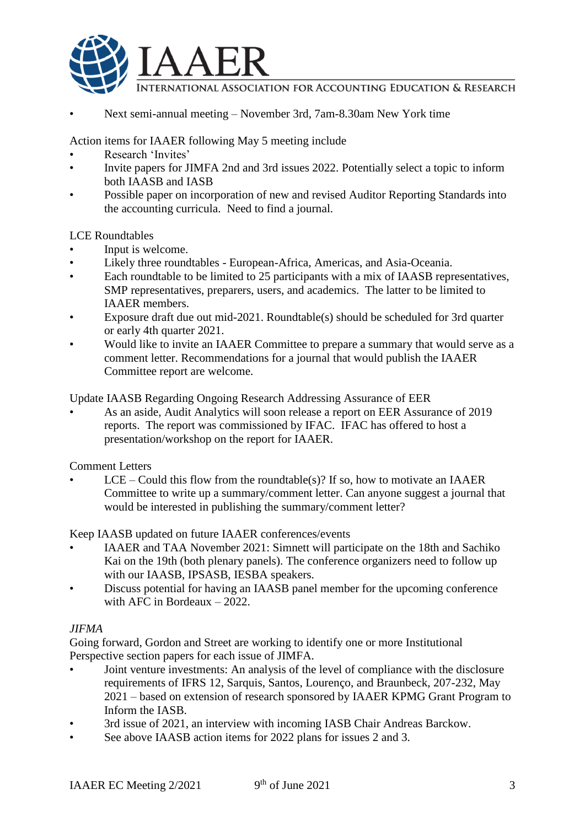

INTERNATIONAL ASSOCIATION FOR ACCOUNTING EDUCATION & RESEARCH

• Next semi-annual meeting – November 3rd, 7am-8.30am New York time

Action items for IAAER following May 5 meeting include

- Research 'Invites'
- Invite papers for JIMFA 2nd and 3rd issues 2022. Potentially select a topic to inform both IAASB and IASB
- Possible paper on incorporation of new and revised Auditor Reporting Standards into the accounting curricula. Need to find a journal.

LCE Roundtables

- Input is welcome.
- Likely three roundtables European-Africa, Americas, and Asia-Oceania.
- Each roundtable to be limited to 25 participants with a mix of IAASB representatives, SMP representatives, preparers, users, and academics. The latter to be limited to IAAER members.
- Exposure draft due out mid-2021. Roundtable(s) should be scheduled for 3rd quarter or early 4th quarter 2021.
- Would like to invite an IAAER Committee to prepare a summary that would serve as a comment letter. Recommendations for a journal that would publish the IAAER Committee report are welcome.

Update IAASB Regarding Ongoing Research Addressing Assurance of EER

• As an aside, Audit Analytics will soon release a report on EER Assurance of 2019 reports. The report was commissioned by IFAC. IFAC has offered to host a presentation/workshop on the report for IAAER.

Comment Letters

 $LCE - Could this flow from the roundtable(s)?$  If so, how to motivate an IAAER Committee to write up a summary/comment letter. Can anyone suggest a journal that would be interested in publishing the summary/comment letter?

Keep IAASB updated on future IAAER conferences/events

- IAAER and TAA November 2021: Simnett will participate on the 18th and Sachiko Kai on the 19th (both plenary panels). The conference organizers need to follow up with our IAASB, IPSASB, IESBA speakers.
- Discuss potential for having an IAASB panel member for the upcoming conference with AFC in Bordeaux – 2022.

## *JIFMA*

Going forward, Gordon and Street are working to identify one or more Institutional Perspective section papers for each issue of JIMFA.

- Joint venture investments: An analysis of the level of compliance with the disclosure requirements of IFRS 12, Sarquis, Santos, Lourenço, and Braunbeck, 207-232, May 2021 – based on extension of research sponsored by IAAER KPMG Grant Program to Inform the IASB.
- 3rd issue of 2021, an interview with incoming IASB Chair Andreas Barckow.
- See above IAASB action items for 2022 plans for issues 2 and 3.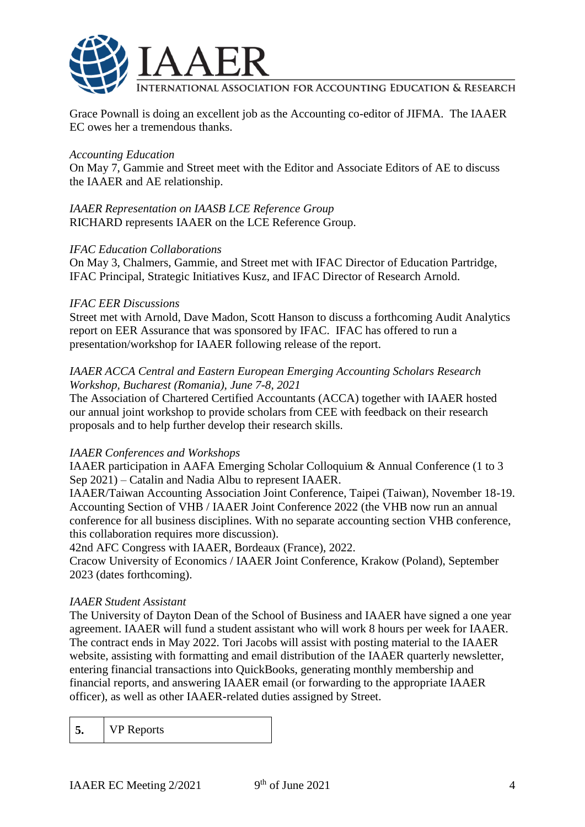

International Association for Accounting Education & Research

Grace Pownall is doing an excellent job as the Accounting co-editor of JIFMA. The IAAER EC owes her a tremendous thanks.

#### *Accounting Education*

On May 7, Gammie and Street meet with the Editor and Associate Editors of AE to discuss the IAAER and AE relationship.

*IAAER Representation on IAASB LCE Reference Group* RICHARD represents IAAER on the LCE Reference Group.

#### *IFAC Education Collaborations*

On May 3, Chalmers, Gammie, and Street met with IFAC Director of Education Partridge, IFAC Principal, Strategic Initiatives Kusz, and IFAC Director of Research Arnold.

#### *IFAC EER Discussions*

Street met with Arnold, Dave Madon, Scott Hanson to discuss a forthcoming Audit Analytics report on EER Assurance that was sponsored by IFAC. IFAC has offered to run a presentation/workshop for IAAER following release of the report.

#### *IAAER ACCA Central and Eastern European Emerging Accounting Scholars Research Workshop, Bucharest (Romania), June 7-8, 2021*

The Association of Chartered Certified Accountants (ACCA) together with IAAER hosted our annual joint workshop to provide scholars from CEE with feedback on their research proposals and to help further develop their research skills.

#### *IAAER Conferences and Workshops*

IAAER participation in AAFA Emerging Scholar Colloquium & Annual Conference (1 to 3 Sep 2021) – Catalin and Nadia Albu to represent IAAER.

IAAER/Taiwan Accounting Association Joint Conference, Taipei (Taiwan), November 18-19. Accounting Section of VHB / IAAER Joint Conference 2022 (the VHB now run an annual conference for all business disciplines. With no separate accounting section VHB conference, this collaboration requires more discussion).

42nd AFC Congress with IAAER, Bordeaux (France), 2022.

Cracow University of Economics / IAAER Joint Conference, Krakow (Poland), September 2023 (dates forthcoming).

#### *IAAER Student Assistant*

The University of Dayton Dean of the School of Business and IAAER have signed a one year agreement. IAAER will fund a student assistant who will work 8 hours per week for IAAER. The contract ends in May 2022. Tori Jacobs will assist with posting material to the IAAER website, assisting with formatting and email distribution of the IAAER quarterly newsletter, entering financial transactions into QuickBooks, generating monthly membership and financial reports, and answering IAAER email (or forwarding to the appropriate IAAER officer), as well as other IAAER-related duties assigned by Street.

**5.** VP Reports